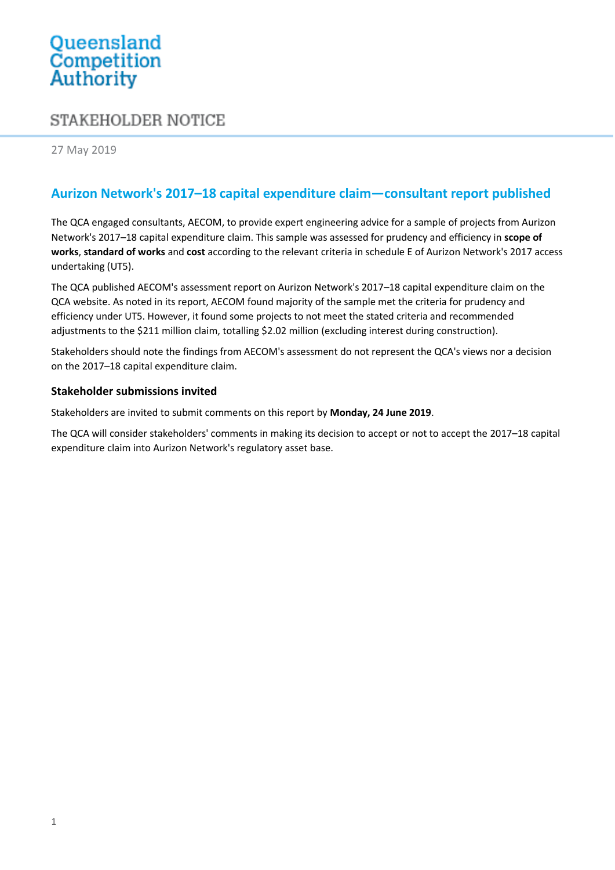# Queensland<br>Competition Authority

## STAKEHOLDER NOTICE

27 May 2019

### **Aurizon Network's 2017–18 capital expenditure claim—consultant report published**

The QCA engaged consultants, AECOM, to provide expert engineering advice for a sample of projects from Aurizon Network's 2017–18 capital expenditure claim. This sample was assessed for prudency and efficiency in **scope of works**, **standard of works** and **cost** according to the relevant criteria in schedule E of Aurizon Network's 2017 access undertaking (UT5).

The QCA published AECOM's assessment report on Aurizon Network's 2017–18 capital expenditure claim on the QCA website. As noted in its report, AECOM found majority of the sample met the criteria for prudency and efficiency under UT5. However, it found some projects to not meet the stated criteria and recommended adjustments to the \$211 million claim, totalling \$2.02 million (excluding interest during construction).

Stakeholders should note the findings from AECOM's assessment do not represent the QCA's views nor a decision on the 2017–18 capital expenditure claim.

#### **Stakeholder submissions invited**

Stakeholders are invited to submit comments on this report by **Monday, 24 June 2019**.

The QCA will consider stakeholders' comments in making its decision to accept or not to accept the 2017–18 capital expenditure claim into Aurizon Network's regulatory asset base.